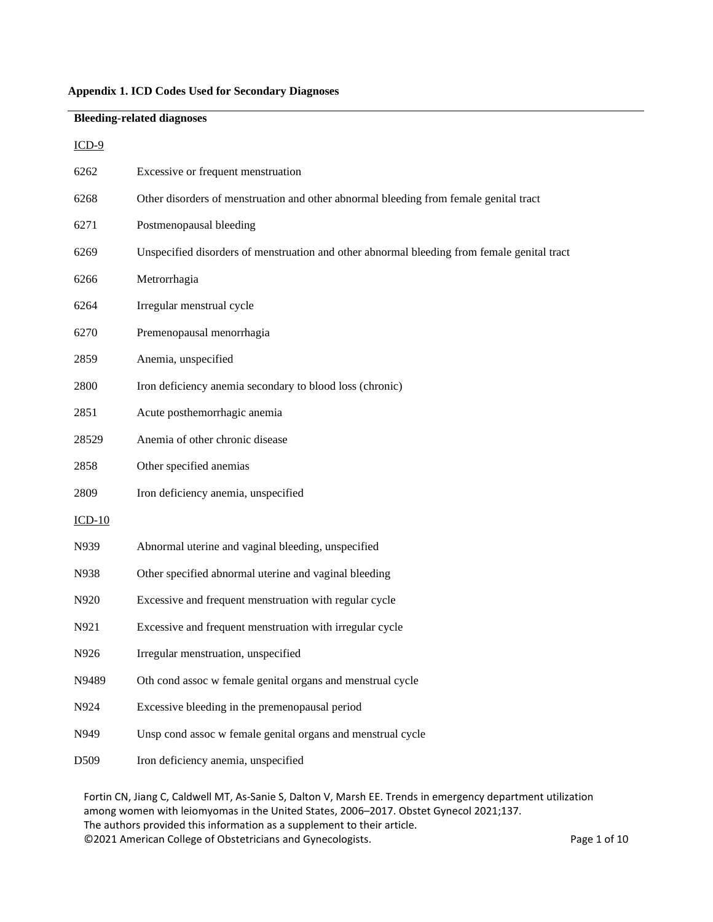## **Appendix 1. ICD Codes Used for Secondary Diagnoses**

# **Bleeding-related diagnoses** ICD-9 6262 Excessive or frequent menstruation 6268 Other disorders of menstruation and other abnormal bleeding from female genital tract 6271 Postmenopausal bleeding 6269 Unspecified disorders of menstruation and other abnormal bleeding from female genital tract 6266 Metrorrhagia 6264 Irregular menstrual cycle 6270 Premenopausal menorrhagia 2859 Anemia, unspecified 2800 Iron deficiency anemia secondary to blood loss (chronic) 2851 Acute posthemorrhagic anemia 28529 Anemia of other chronic disease 2858 Other specified anemias 2809 Iron deficiency anemia, unspecified ICD-10 N939 Abnormal uterine and vaginal bleeding, unspecified N938 Other specified abnormal uterine and vaginal bleeding N920 Excessive and frequent menstruation with regular cycle N921 Excessive and frequent menstruation with irregular cycle N926 Irregular menstruation, unspecified N9489 Oth cond assoc w female genital organs and menstrual cycle N924 Excessive bleeding in the premenopausal period N949 Unsp cond assoc w female genital organs and menstrual cycle D509 Iron deficiency anemia, unspecified

Fortin CN, Jiang C, Caldwell MT, As-Sanie S, Dalton V, Marsh EE. Trends in emergency department utilization among women with leiomyomas in the United States, 2006–2017. Obstet Gynecol 2021;137. The authors provided this information as a supplement to their article. ©2021 American College of Obstetricians and Gynecologists. Page 1 of 10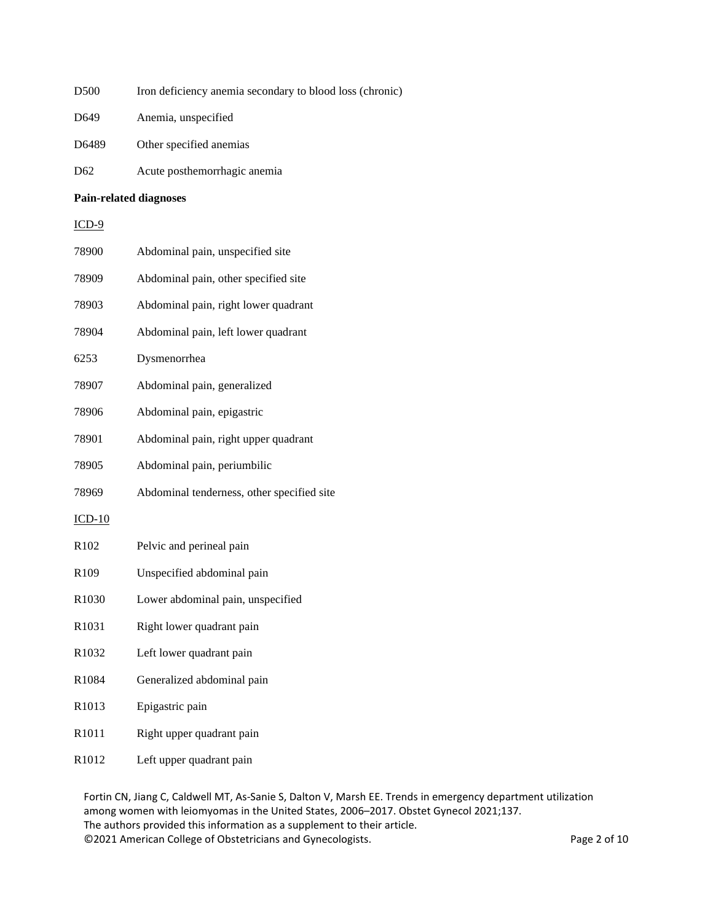- D500 Iron deficiency anemia secondary to blood loss (chronic)
- D649 Anemia, unspecified
- D6489 Other specified anemias
- D62 Acute posthemorrhagic anemia

### **Pain-related diagnoses**

ICD-9

| 78900    | Abdominal pain, unspecified site           |
|----------|--------------------------------------------|
| 78909    | Abdominal pain, other specified site       |
| 78903    | Abdominal pain, right lower quadrant       |
| 78904    | Abdominal pain, left lower quadrant        |
| 6253     | Dysmenorrhea                               |
| 78907    | Abdominal pain, generalized                |
| 78906    | Abdominal pain, epigastric                 |
| 78901    | Abdominal pain, right upper quadrant       |
| 78905    | Abdominal pain, periumbilic                |
| 78969    | Abdominal tenderness, other specified site |
| $ICD-10$ |                                            |
| R102     | Pelvic and perineal pain                   |
| R109     | Unspecified abdominal pain                 |
| R1030    | Lower abdominal pain, unspecified          |
| R1031    | Right lower quadrant pain                  |
| R1032    | Left lower quadrant pain                   |
|          |                                            |
| R1084    | Generalized abdominal pain                 |
| R1013    | Epigastric pain                            |
| R1011    | Right upper quadrant pain                  |

R1012 Left upper quadrant pain

Fortin CN, Jiang C, Caldwell MT, As-Sanie S, Dalton V, Marsh EE. Trends in emergency department utilization among women with leiomyomas in the United States, 2006–2017. Obstet Gynecol 2021;137. The authors provided this information as a supplement to their article. ©2021 American College of Obstetricians and Gynecologists. Page 2 of 10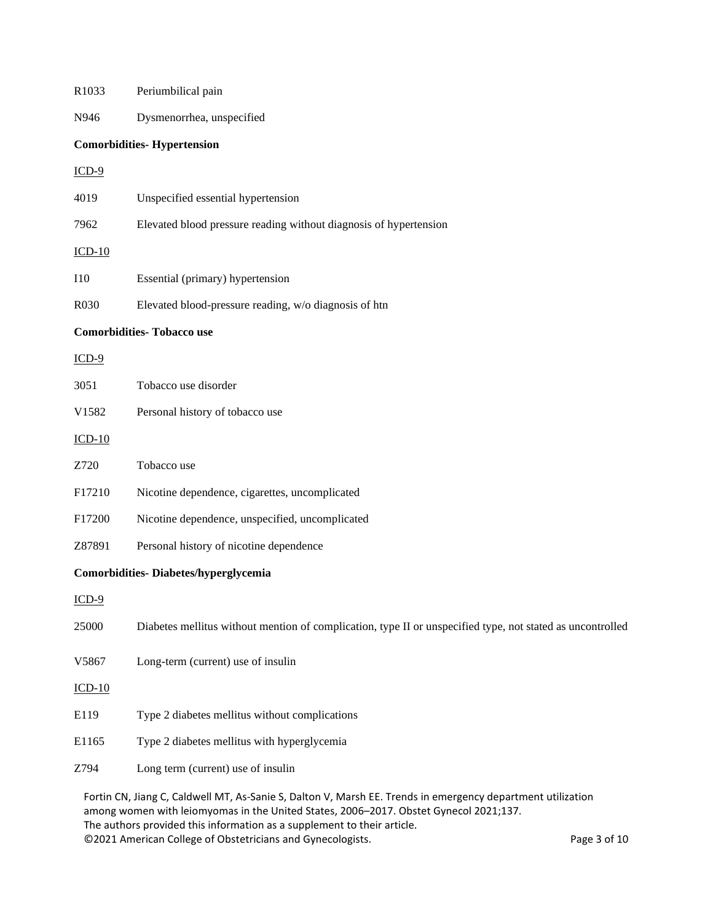| R1033      | Periumbilical pain                                                                                         |
|------------|------------------------------------------------------------------------------------------------------------|
| N946       | Dysmenorrhea, unspecified                                                                                  |
|            | <b>Comorbidities- Hypertension</b>                                                                         |
| $ICD-9$    |                                                                                                            |
| 4019       | Unspecified essential hypertension                                                                         |
| 7962       | Elevated blood pressure reading without diagnosis of hypertension                                          |
| $ICD-10$   |                                                                                                            |
| <b>I10</b> | Essential (primary) hypertension                                                                           |
| R030       | Elevated blood-pressure reading, w/o diagnosis of htn                                                      |
|            | <b>Comorbidities- Tobacco use</b>                                                                          |
| $ICD-9$    |                                                                                                            |
| 3051       | Tobacco use disorder                                                                                       |
| V1582      | Personal history of tobacco use                                                                            |
| $ICD-10$   |                                                                                                            |
| Z720       | Tobacco use                                                                                                |
| F17210     | Nicotine dependence, cigarettes, uncomplicated                                                             |
| F17200     | Nicotine dependence, unspecified, uncomplicated                                                            |
| Z87891     | Personal history of nicotine dependence                                                                    |
|            | <b>Comorbidities-Diabetes/hyperglycemia</b>                                                                |
| $ICD-9$    |                                                                                                            |
| 25000      | Diabetes mellitus without mention of complication, type II or unspecified type, not stated as uncontrolled |
| V5867      | Long-term (current) use of insulin                                                                         |
| $ICD-10$   |                                                                                                            |
| E119       | Type 2 diabetes mellitus without complications                                                             |
| E1165      | Type 2 diabetes mellitus with hyperglycemia                                                                |
| Z794       | Long term (current) use of insulin                                                                         |
|            |                                                                                                            |

Fortin CN, Jiang C, Caldwell MT, As-Sanie S, Dalton V, Marsh EE. Trends in emergency department utilization among women with leiomyomas in the United States, 2006–2017. Obstet Gynecol 2021;137. The authors provided this information as a supplement to their article. ©2021 American College of Obstetricians and Gynecologists. Page 3 of 10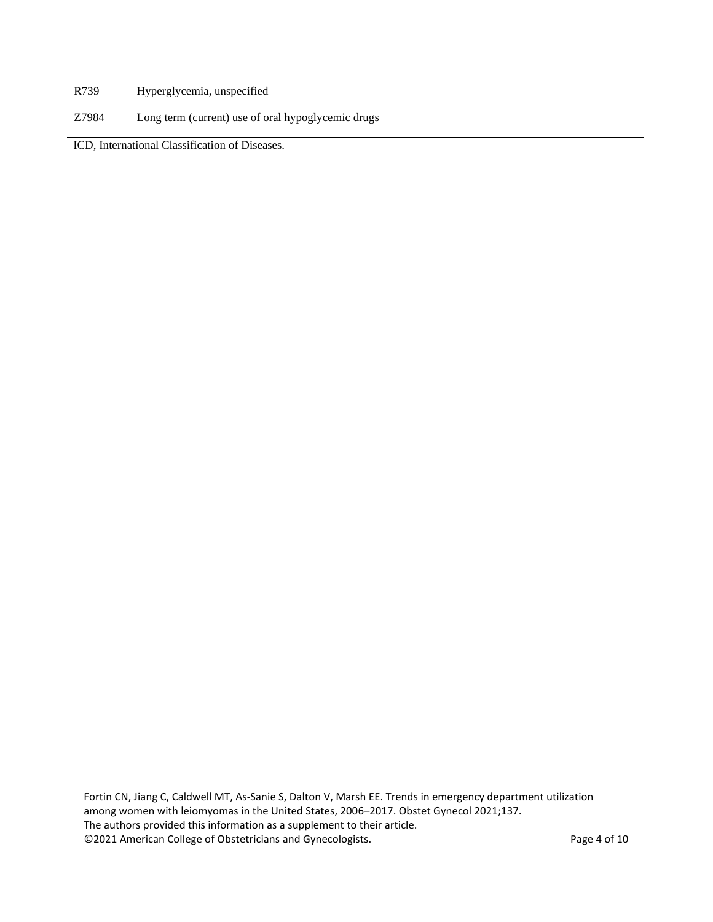- R739 Hyperglycemia, unspecified
- Z7984 Long term (current) use of oral hypoglycemic drugs

ICD, International Classification of Diseases.

Fortin CN, Jiang C, Caldwell MT, As-Sanie S, Dalton V, Marsh EE. Trends in emergency department utilization among women with leiomyomas in the United States, 2006–2017. Obstet Gynecol 2021;137. The authors provided this information as a supplement to their article. ©2021 American College of Obstetricians and Gynecologists. Page 4 of 10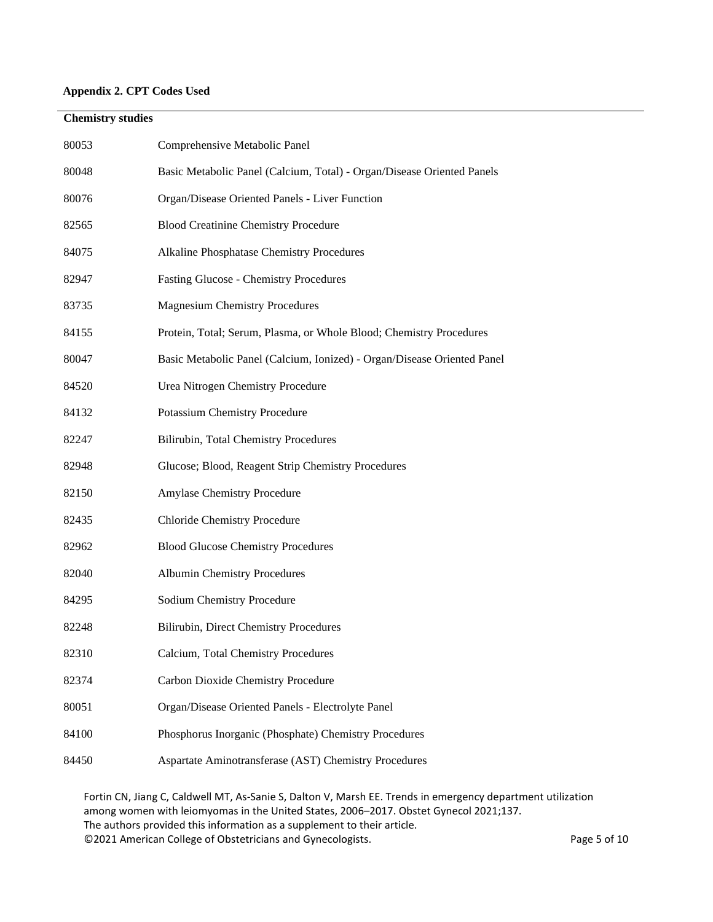# **Appendix 2. CPT Codes Used**

# **Chemistry studies**

| 80053 | Comprehensive Metabolic Panel                                           |
|-------|-------------------------------------------------------------------------|
| 80048 | Basic Metabolic Panel (Calcium, Total) - Organ/Disease Oriented Panels  |
| 80076 | Organ/Disease Oriented Panels - Liver Function                          |
| 82565 | <b>Blood Creatinine Chemistry Procedure</b>                             |
| 84075 | Alkaline Phosphatase Chemistry Procedures                               |
| 82947 | <b>Fasting Glucose - Chemistry Procedures</b>                           |
| 83735 | <b>Magnesium Chemistry Procedures</b>                                   |
| 84155 | Protein, Total; Serum, Plasma, or Whole Blood; Chemistry Procedures     |
| 80047 | Basic Metabolic Panel (Calcium, Ionized) - Organ/Disease Oriented Panel |
| 84520 | Urea Nitrogen Chemistry Procedure                                       |
| 84132 | <b>Potassium Chemistry Procedure</b>                                    |
| 82247 | Bilirubin, Total Chemistry Procedures                                   |
| 82948 | Glucose; Blood, Reagent Strip Chemistry Procedures                      |
| 82150 | Amylase Chemistry Procedure                                             |
| 82435 | <b>Chloride Chemistry Procedure</b>                                     |
| 82962 | <b>Blood Glucose Chemistry Procedures</b>                               |
| 82040 | Albumin Chemistry Procedures                                            |
| 84295 | Sodium Chemistry Procedure                                              |
| 82248 | Bilirubin, Direct Chemistry Procedures                                  |
| 82310 | Calcium, Total Chemistry Procedures                                     |
| 82374 | Carbon Dioxide Chemistry Procedure                                      |
| 80051 | Organ/Disease Oriented Panels - Electrolyte Panel                       |
| 84100 | Phosphorus Inorganic (Phosphate) Chemistry Procedures                   |
| 84450 | Aspartate Aminotransferase (AST) Chemistry Procedures                   |

Fortin CN, Jiang C, Caldwell MT, As-Sanie S, Dalton V, Marsh EE. Trends in emergency department utilization among women with leiomyomas in the United States, 2006–2017. Obstet Gynecol 2021;137. The authors provided this information as a supplement to their article. ©2021 American College of Obstetricians and Gynecologists. Page 5 of 10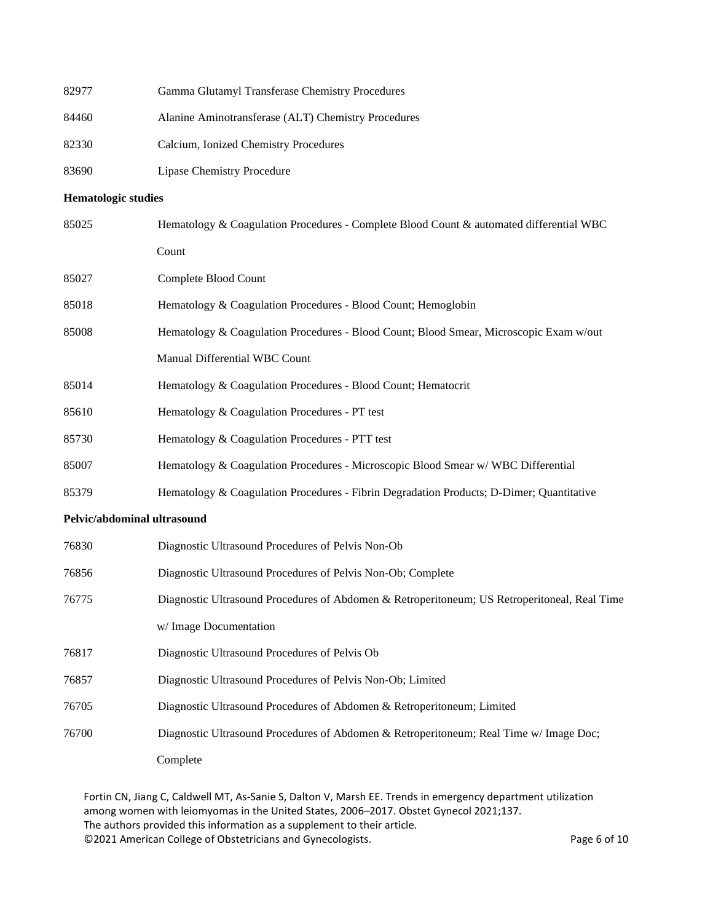| 82977                       | Gamma Glutamyl Transferase Chemistry Procedures                                              |
|-----------------------------|----------------------------------------------------------------------------------------------|
| 84460                       | Alanine Aminotransferase (ALT) Chemistry Procedures                                          |
| 82330                       | Calcium, Ionized Chemistry Procedures                                                        |
| 83690                       | <b>Lipase Chemistry Procedure</b>                                                            |
| <b>Hematologic studies</b>  |                                                                                              |
| 85025                       | Hematology & Coagulation Procedures - Complete Blood Count & automated differential WBC      |
|                             | Count                                                                                        |
| 85027                       | Complete Blood Count                                                                         |
| 85018                       | Hematology & Coagulation Procedures - Blood Count; Hemoglobin                                |
| 85008                       | Hematology & Coagulation Procedures - Blood Count; Blood Smear, Microscopic Exam w/out       |
|                             | Manual Differential WBC Count                                                                |
| 85014                       | Hematology & Coagulation Procedures - Blood Count; Hematocrit                                |
| 85610                       | Hematology & Coagulation Procedures - PT test                                                |
| 85730                       | Hematology & Coagulation Procedures - PTT test                                               |
| 85007                       | Hematology & Coagulation Procedures - Microscopic Blood Smear w/WBC Differential             |
| 85379                       | Hematology & Coagulation Procedures - Fibrin Degradation Products; D-Dimer; Quantitative     |
| Pelvic/abdominal ultrasound |                                                                                              |
| 76830                       | Diagnostic Ultrasound Procedures of Pelvis Non-Ob                                            |
| 76856                       | Diagnostic Ultrasound Procedures of Pelvis Non-Ob; Complete                                  |
| 76775                       | Diagnostic Ultrasound Procedures of Abdomen & Retroperitoneum; US Retroperitoneal, Real Time |
|                             | w/ Image Documentation                                                                       |
| 76817                       | Diagnostic Ultrasound Procedures of Pelvis Ob                                                |
| 76857                       | Diagnostic Ultrasound Procedures of Pelvis Non-Ob; Limited                                   |
| 76705                       | Diagnostic Ultrasound Procedures of Abdomen & Retroperitoneum; Limited                       |
| 76700                       | Diagnostic Ultrasound Procedures of Abdomen & Retroperitoneum; Real Time w/ Image Doc;       |
|                             | Complete                                                                                     |

Fortin CN, Jiang C, Caldwell MT, As-Sanie S, Dalton V, Marsh EE. Trends in emergency department utilization among women with leiomyomas in the United States, 2006–2017. Obstet Gynecol 2021;137. The authors provided this information as a supplement to their article. ©2021 American College of Obstetricians and Gynecologists. Page 6 of 10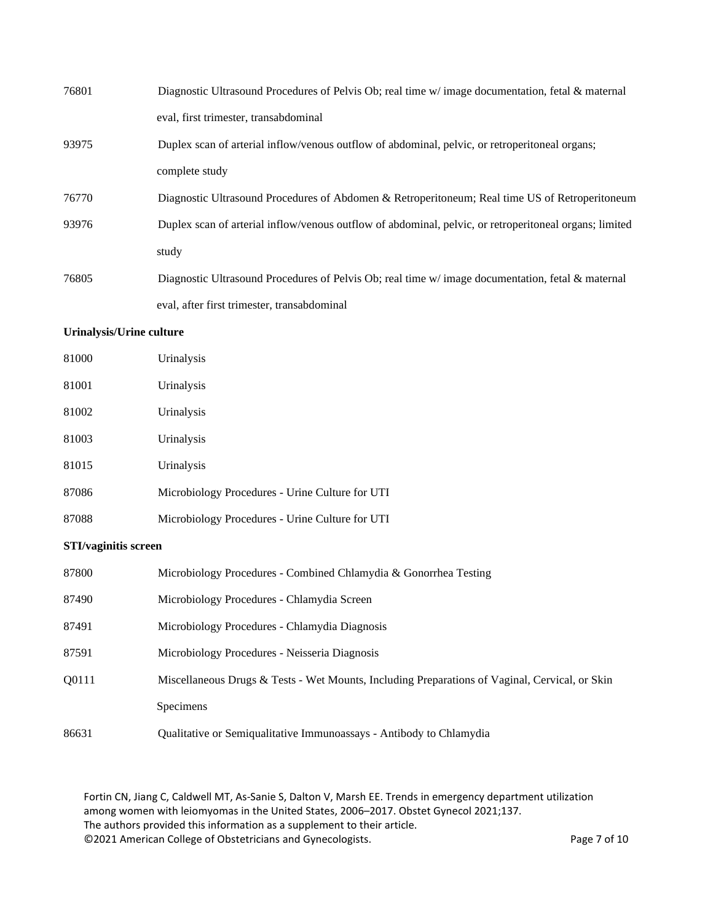| 76801 | Diagnostic Ultrasound Procedures of Pelvis Ob; real time $w$ image documentation, fetal $\&$ maternal  |
|-------|--------------------------------------------------------------------------------------------------------|
|       | eval, first trimester, transabdominal                                                                  |
| 93975 | Duplex scan of arterial inflow/venous outflow of abdominal, pelvic, or retroperitoneal organs;         |
|       | complete study                                                                                         |
| 76770 | Diagnostic Ultrasound Procedures of Abdomen & Retroperitoneum; Real time US of Retroperitoneum         |
| 93976 | Duplex scan of arterial inflow/venous outflow of abdominal, pelvic, or retroperitoneal organs; limited |
|       | study                                                                                                  |
| 76805 | Diagnostic Ultrasound Procedures of Pelvis Ob; real time w/ image documentation, fetal & maternal      |
|       | eval, after first trimester, transabdominal                                                            |

## **Urinalysis/Urine culture**

| 81000 | Urinalysis                                      |
|-------|-------------------------------------------------|
| 81001 | Urinalysis                                      |
| 81002 | Urinalysis                                      |
| 81003 | Urinalysis                                      |
| 81015 | Urinalysis                                      |
| 87086 | Microbiology Procedures - Urine Culture for UTI |
| 87088 | Microbiology Procedures - Urine Culture for UTI |

#### **STI/vaginitis screen**

| 87800 | Microbiology Procedures - Combined Chlamydia & Gonorrhea Testing                               |
|-------|------------------------------------------------------------------------------------------------|
| 87490 | Microbiology Procedures - Chlamydia Screen                                                     |
| 87491 | Microbiology Procedures - Chlamydia Diagnosis                                                  |
| 87591 | Microbiology Procedures - Neisseria Diagnosis                                                  |
| O0111 | Miscellaneous Drugs & Tests - Wet Mounts, Including Preparations of Vaginal, Cervical, or Skin |
|       | <b>Specimens</b>                                                                               |
| 86631 | Qualitative or Semiqualitative Immunoassays - Antibody to Chlamydia                            |

Fortin CN, Jiang C, Caldwell MT, As-Sanie S, Dalton V, Marsh EE. Trends in emergency department utilization among women with leiomyomas in the United States, 2006–2017. Obstet Gynecol 2021;137. The authors provided this information as a supplement to their article. ©2021 American College of Obstetricians and Gynecologists. Page 7 of 10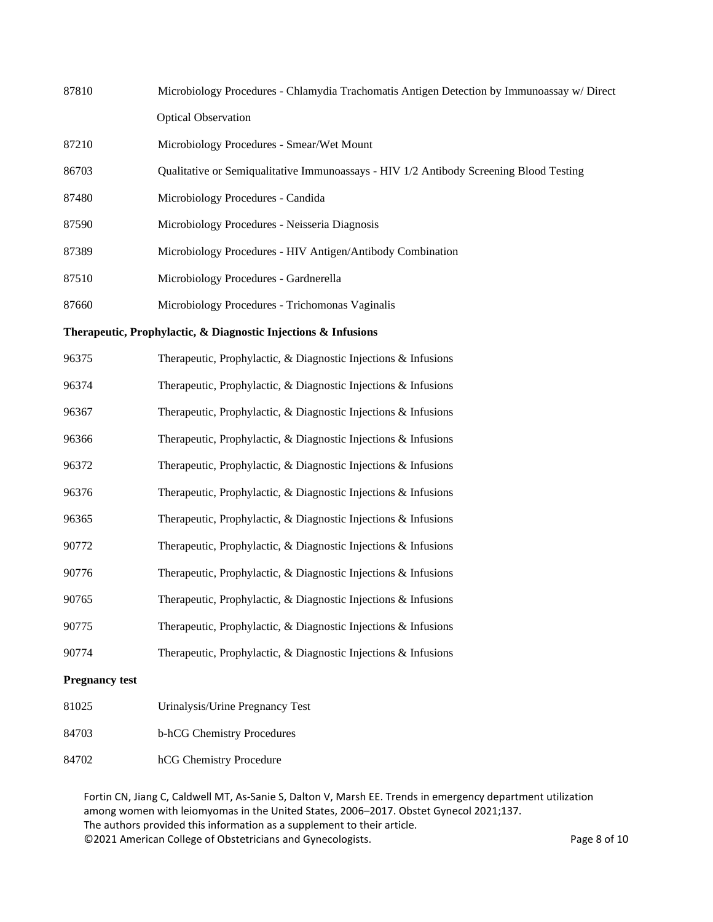| 87810                                                          | Microbiology Procedures - Chlamydia Trachomatis Antigen Detection by Immunoassay w/ Direct |
|----------------------------------------------------------------|--------------------------------------------------------------------------------------------|
|                                                                | <b>Optical Observation</b>                                                                 |
| 87210                                                          | Microbiology Procedures - Smear/Wet Mount                                                  |
| 86703                                                          | Qualitative or Semiqualitative Immunoassays - HIV 1/2 Antibody Screening Blood Testing     |
| 87480                                                          | Microbiology Procedures - Candida                                                          |
| 87590                                                          | Microbiology Procedures - Neisseria Diagnosis                                              |
| 87389                                                          | Microbiology Procedures - HIV Antigen/Antibody Combination                                 |
| 87510                                                          | Microbiology Procedures - Gardnerella                                                      |
| 87660                                                          | Microbiology Procedures - Trichomonas Vaginalis                                            |
| Therapeutic, Prophylactic, & Diagnostic Injections & Infusions |                                                                                            |
| 96375                                                          | Therapeutic, Prophylactic, & Diagnostic Injections & Infusions                             |
| 96374                                                          | Therapeutic, Prophylactic, & Diagnostic Injections & Infusions                             |
| 96367                                                          | Therapeutic, Prophylactic, & Diagnostic Injections & Infusions                             |
| 96366                                                          | Therapeutic, Prophylactic, & Diagnostic Injections & Infusions                             |
| 96372                                                          | Therapeutic, Prophylactic, & Diagnostic Injections & Infusions                             |
| 96376                                                          | Therapeutic, Prophylactic, & Diagnostic Injections & Infusions                             |
| 96365                                                          | Therapeutic, Prophylactic, & Diagnostic Injections & Infusions                             |
| 90772                                                          | Therapeutic, Prophylactic, & Diagnostic Injections & Infusions                             |
| 90776                                                          | Therapeutic, Prophylactic, & Diagnostic Injections & Infusions                             |
| 90765                                                          | Therapeutic, Prophylactic, & Diagnostic Injections & Infusions                             |
| 90775                                                          | Therapeutic, Prophylactic, & Diagnostic Injections & Infusions                             |
| 90774                                                          | Therapeutic, Prophylactic, & Diagnostic Injections & Infusions                             |
| <b>Pregnancy test</b>                                          |                                                                                            |
| 81025                                                          | Urinalysis/Urine Pregnancy Test                                                            |

- b-hCG Chemistry Procedures
- hCG Chemistry Procedure

Fortin CN, Jiang C, Caldwell MT, As-Sanie S, Dalton V, Marsh EE. Trends in emergency department utilization among women with leiomyomas in the United States, 2006–2017. Obstet Gynecol 2021;137. The authors provided this information as a supplement to their article. ©2021 American College of Obstetricians and Gynecologists. Page 8 of 10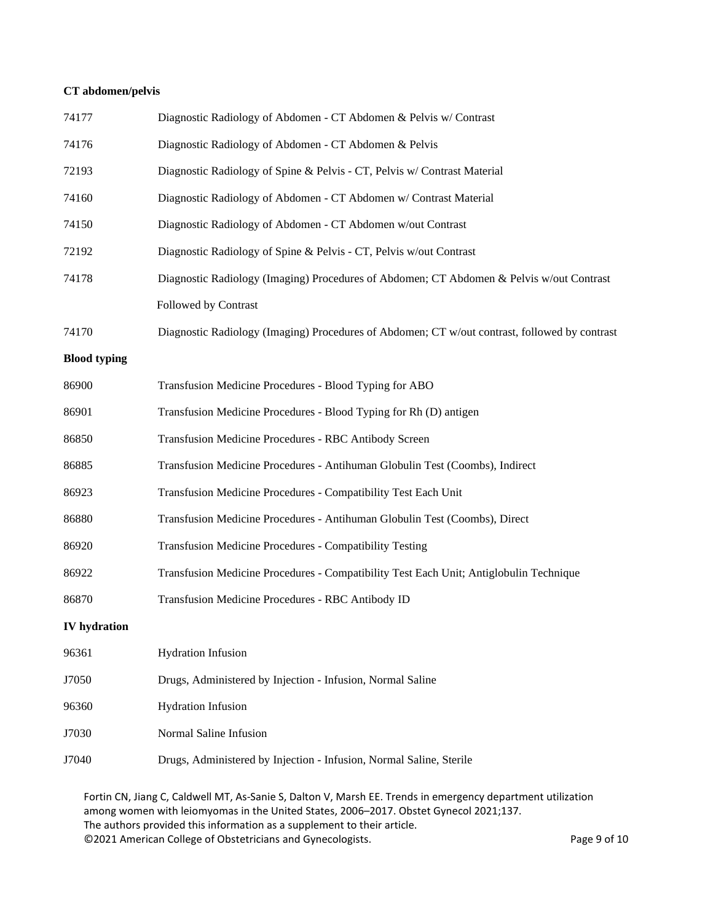## **CT abdomen/pelvis**

| 74177               | Diagnostic Radiology of Abdomen - CT Abdomen & Pelvis w/ Contrast                                           |
|---------------------|-------------------------------------------------------------------------------------------------------------|
| 74176               | Diagnostic Radiology of Abdomen - CT Abdomen & Pelvis                                                       |
| 72193               | Diagnostic Radiology of Spine & Pelvis - CT, Pelvis w/ Contrast Material                                    |
| 74160               | Diagnostic Radiology of Abdomen - CT Abdomen w/ Contrast Material                                           |
| 74150               | Diagnostic Radiology of Abdomen - CT Abdomen w/out Contrast                                                 |
| 72192               | Diagnostic Radiology of Spine & Pelvis - CT, Pelvis w/out Contrast                                          |
| 74178               | Diagnostic Radiology (Imaging) Procedures of Abdomen; CT Abdomen & Pelvis w/out Contrast                    |
|                     | Followed by Contrast                                                                                        |
| 74170               | Diagnostic Radiology (Imaging) Procedures of Abdomen; CT w/out contrast, followed by contrast               |
| <b>Blood typing</b> |                                                                                                             |
| 86900               | Transfusion Medicine Procedures - Blood Typing for ABO                                                      |
| 86901               | Transfusion Medicine Procedures - Blood Typing for Rh (D) antigen                                           |
| 86850               | Transfusion Medicine Procedures - RBC Antibody Screen                                                       |
| 86885               | Transfusion Medicine Procedures - Antihuman Globulin Test (Coombs), Indirect                                |
| 86923               | Transfusion Medicine Procedures - Compatibility Test Each Unit                                              |
| 86880               | Transfusion Medicine Procedures - Antihuman Globulin Test (Coombs), Direct                                  |
| 86920               | <b>Transfusion Medicine Procedures - Compatibility Testing</b>                                              |
| 86922               | Transfusion Medicine Procedures - Compatibility Test Each Unit; Antiglobulin Technique                      |
| 86870               | Transfusion Medicine Procedures - RBC Antibody ID                                                           |
| <b>IV</b> hydration |                                                                                                             |
| 96361               | <b>Hydration Infusion</b>                                                                                   |
| J7050               | Drugs, Administered by Injection - Infusion, Normal Saline                                                  |
| 96360               | <b>Hydration Infusion</b>                                                                                   |
| J7030               | Normal Saline Infusion                                                                                      |
| J7040               | Drugs, Administered by Injection - Infusion, Normal Saline, Sterile                                         |
|                     | Fortin CN, Jiang C, Caldwell MT, As-Sanie S, Dalton V, Marsh EE. Trends in emergency department utilization |

among women with leiomyomas in the United States, 2006–2017. Obstet Gynecol 2021;137. The authors provided this information as a supplement to their article. ©2021 American College of Obstetricians and Gynecologists. Page 9 of 10